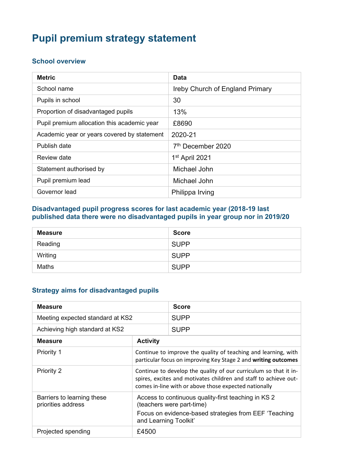# **Pupil premium strategy statement**

## **School overview**

| <b>Metric</b>                               | <b>Data</b>                            |
|---------------------------------------------|----------------------------------------|
| School name                                 | <b>Ireby Church of England Primary</b> |
| Pupils in school                            | 30                                     |
| Proportion of disadvantaged pupils          | 13%                                    |
| Pupil premium allocation this academic year | £8690                                  |
| Academic year or years covered by statement | 2020-21                                |
| Publish date                                | 7 <sup>th</sup> December 2020          |
| <b>Review date</b>                          | 1 <sup>st</sup> April 2021             |
| Statement authorised by                     | Michael John                           |
| Pupil premium lead                          | Michael John                           |
| Governor lead                               | Philippa Irving                        |

#### **Disadvantaged pupil progress scores for last academic year (2018-19 last published data there were no disadvantaged pupils in year group nor in 2019/20**

| <b>Measure</b> | <b>Score</b> |
|----------------|--------------|
| Reading        | <b>SUPP</b>  |
| Writing        | <b>SUPP</b>  |
| Maths          | <b>SUPP</b>  |

## **Strategy aims for disadvantaged pupils**

| <b>Measure</b>                                   |                                                                                                                                                                                               | <b>Score</b> |
|--------------------------------------------------|-----------------------------------------------------------------------------------------------------------------------------------------------------------------------------------------------|--------------|
| Meeting expected standard at KS2                 |                                                                                                                                                                                               | <b>SUPP</b>  |
| Achieving high standard at KS2                   |                                                                                                                                                                                               | <b>SUPP</b>  |
| <b>Measure</b>                                   | <b>Activity</b>                                                                                                                                                                               |              |
| Priority 1                                       | Continue to improve the quality of teaching and learning, with<br>particular focus on improving Key Stage 2 and writing outcomes                                                              |              |
| <b>Priority 2</b>                                | Continue to develop the quality of our curriculum so that it in-<br>spires, excites and motivates children and staff to achieve out-<br>comes in-line with or above those expected nationally |              |
| Barriers to learning these<br>priorities address | Access to continuous quality-first teaching in KS 2<br>(teachers were part-time)<br>Focus on evidence-based strategies from EEF 'Teaching<br>and Learning Toolkit'                            |              |
| Projected spending                               | £4500                                                                                                                                                                                         |              |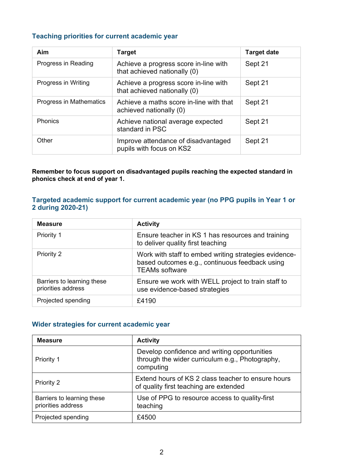## **Teaching priorities for current academic year**

| Aim                     | <b>Target</b>                                                         | <b>Target date</b> |
|-------------------------|-----------------------------------------------------------------------|--------------------|
| Progress in Reading     | Achieve a progress score in-line with<br>that achieved nationally (0) | Sept 21            |
| Progress in Writing     | Achieve a progress score in-line with<br>that achieved nationally (0) | Sept 21            |
| Progress in Mathematics | Achieve a maths score in-line with that<br>achieved nationally (0)    | Sept 21            |
| Phonics                 | Achieve national average expected<br>standard in PSC                  | Sept 21            |
| Other                   | Improve attendance of disadvantaged<br>pupils with focus on KS2       | Sept 21            |

**Remember to focus support on disadvantaged pupils reaching the expected standard in phonics check at end of year 1.**

#### **Targeted academic support for current academic year (no PPG pupils in Year 1 or 2 during 2020-21)**

| <b>Measure</b>                                   | <b>Activity</b>                                                                                                                  |
|--------------------------------------------------|----------------------------------------------------------------------------------------------------------------------------------|
| Priority 1                                       | Ensure teacher in KS 1 has resources and training<br>to deliver quality first teaching                                           |
| Priority 2                                       | Work with staff to embed writing strategies evidence-<br>based outcomes e.g., continuous feedback using<br><b>TEAMs software</b> |
| Barriers to learning these<br>priorities address | Ensure we work with WELL project to train staff to<br>use evidence-based strategies                                              |
| Projected spending                               | £4190                                                                                                                            |

#### **Wider strategies for current academic year**

| <b>Measure</b>                                   | <b>Activity</b>                                                                                              |
|--------------------------------------------------|--------------------------------------------------------------------------------------------------------------|
| Priority 1                                       | Develop confidence and writing opportunities<br>through the wider curriculum e.g., Photography,<br>computing |
| Priority 2                                       | Extend hours of KS 2 class teacher to ensure hours<br>of quality first teaching are extended                 |
| Barriers to learning these<br>priorities address | Use of PPG to resource access to quality-first<br>teaching                                                   |
| Projected spending                               | £4500                                                                                                        |